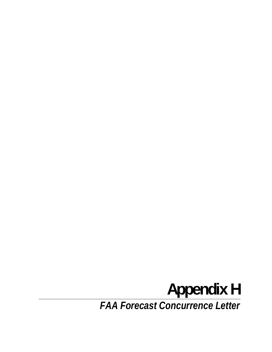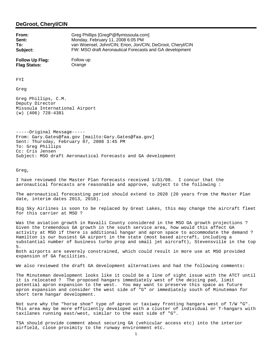## **DeGroot, Cheryl/CIN**

| Greg Phillips [GregP@flymissoula.com]<br>Monday, February 11, 2008 6:05 PM<br>van Woensel, John/CIN; Erion, Jon/CIN; DeGroot, Cheryl/CIN<br>FW: MSO draft Aeronautical Forecasts and GA development                                     |  |
|-----------------------------------------------------------------------------------------------------------------------------------------------------------------------------------------------------------------------------------------|--|
| Follow up<br>Orange                                                                                                                                                                                                                     |  |
|                                                                                                                                                                                                                                         |  |
|                                                                                                                                                                                                                                         |  |
| Missoula International Airport                                                                                                                                                                                                          |  |
| -----Original Message-----<br>From: Gary.Gates@faa.gov [mailto:Gary.Gates@faa.gov]<br>Sent: Thursday, February 07, 2008 3:45 PM<br>To: Greg Phillips<br>Cc: Cris Jensen<br>Subject: MSO draft Aeronautical Forecasts and GA development |  |
|                                                                                                                                                                                                                                         |  |
| I have reviewed the Master Plan forecasts received 1/31/08. I concur that the<br>aeronautical forecasts are reasonable and approve, subject to the following :                                                                          |  |
| The aeronautical forecasting period should extend to 2028 (20 years from the Master Plan<br>date, interim dates 2013, 2018).                                                                                                            |  |
|                                                                                                                                                                                                                                         |  |

Big Sky Airlines is soon to be replaced by Great Lakes, this may change the aircraft fleet for this carrier at MSO ?

Was the aviation growth in Ravalli County considered in the MSO GA growth projections ? Given the tremendous GA growth in the south service area, how would this affect GA activity at MSO if there is additional hangar and apron space to accommodate the demand ? Hamilton is our busiest GA airport in the state (most based aircraft, including a substantial number of business turbo prop and small jet aircraft), Stevensville in the top 5. Both airports are severely constrained, which could result in more use at MSO provided expansion of GA facilities.

We also reviewed the draft GA development alternatives and had the following comments:

The Minuteman development looks like it could be a line of sight issue with the ATCT until it is relocated ? The proposed hangars immediately west of the deicing pad, limit potential apron expansion to the west. You may want to preserve this space as future apron expansion and consider the west side of "G" or immediately south of Minuteman for short term hangar development.

Not sure why the "horse shoe" type of apron or taxiway fronting hangars west of T/W "G". This area may be more efficiently developed with a cluster of individual or T-hangars with taxilanes running east/west, similar to the east side of "G".

TSA should provide comment about securing GA (vehicular access etc) into the interior airfield, close proximity to the runway environment etc.